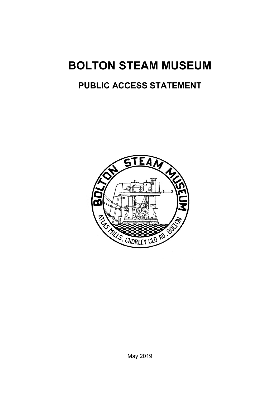# **BOLTON STEAM MUSEUM**

# **PUBLIC ACCESS STATEMENT**

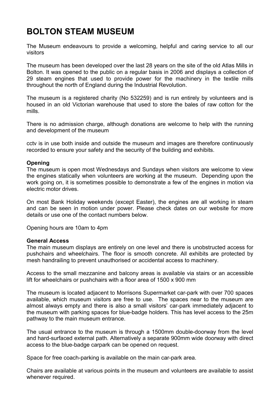# **BOLTON STEAM MUSEUM**

The Museum endeavours to provide a welcoming, helpful and caring service to all our visitors

The museum has been developed over the last 28 years on the site of the old Atlas Mills in Bolton. It was opened to the public on a regular basis in 2006 and displays a collection of 29 steam engines that used to provide power for the machinery in the textile mills throughout the north of England during the Industrial Revolution.

The museum is a registered charity (No 532259) and is run entirely by volunteers and is housed in an old Victorian warehouse that used to store the bales of raw cotton for the mills.

There is no admission charge, although donations are welcome to help with the running and development of the museum

cctv is in use both inside and outside the museum and images are therefore continuously recorded to ensure your safety and the security of the building and exhibits.

## **Opening**

The museum is open most Wednesdays and Sundays when visitors are welcome to view the engines statically when volunteers are working at the museum. Depending upon the work going on, it is sometimes possible to demonstrate a few of the engines in motion via electric motor drives.

On most Bank Holiday weekends (except Easter), the engines are all working in steam and can be seen in motion under power. Please check dates on our website for more details or use one of the contact numbers below.

Opening hours are 10am to 4pm

#### **General Access**

The main museum displays are entirely on one level and there is unobstructed access for pushchairs and wheelchairs. The floor is smooth concrete. All exhibits are protected by mesh handrailing to prevent unauthorised or accidental access to machinery.

Access to the small mezzanine and balcony areas is available via stairs or an accessible lift for wheelchairs or pushchairs with a floor area of 1500 x 900 mm

The museum is located adjacent to Morrisons Supermarket car-park with over 700 spaces available, which museum visitors are free to use. The spaces near to the museum are almost always empty and there is also a small visitors' car-park immediately adjacent to the museum with parking spaces for blue-badge holders. This has level access to the 25m pathway to the main museum entrance.

The usual entrance to the museum is through a 1500mm double-doorway from the level and hard-surfaced external path. Alternatively a separate 900mm wide doorway with direct access to the blue-badge carpark can be opened on request.

Space for free coach-parking is available on the main car-park area.

Chairs are available at various points in the museum and volunteers are available to assist whenever required.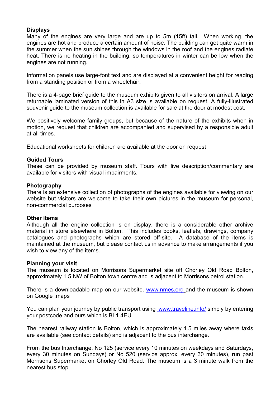## **Displays**

Many of the engines are very large and are up to 5m (15ft) tall. When working, the engines are hot and produce a certain amount of noise. The building can get quite warm in the summer when the sun shines through the windows in the roof and the engines radiate heat. There is no heating in the building, so temperatures in winter can be low when the engines are not running.

Information panels use large-font text and are displayed at a convenient height for reading from a standing position or from a wheelchair.

There is a 4-page brief guide to the museum exhibits given to all visitors on arrival. A large returnable laminated version of this in A3 size is available on request. A fully-illustrated souvenir guide to the museum collection is available for sale at the door at modest cost.

We positively welcome family groups, but because of the nature of the exhibits when in motion, we request that children are accompanied and supervised by a responsible adult at all times.

Educational worksheets for children are available at the door on request

## **Guided Tours**

These can be provided by museum staff. Tours with live description/commentary are available for visitors with visual impairments.

#### **Photography**

There is an extensive collection of photographs of the engines available for viewing on our website but visitors are welcome to take their own pictures in the museum for personal, non-commercial purposes

#### **Other items**

Although all the engine collection is on display, there is a considerable other archive material in store elsewhere in Bolton. This includes books, leaflets, drawings, company catalogues and photographs which are stored off-site. A database of the items is maintained at the museum, but please contact us in advance to make arrangements if you wish to view any of the items.

#### **Planning your visit**

The museum is located on Morrisons Supermarket site off Chorley Old Road Bolton, approximately 1.5 NW of Bolton town centre and is adjacent to Morrisons petrol station.

There is a downloadable map on our website. www.nmes.org and the museum is shown on Google ,maps

You can plan your journey by public transport using www.traveline.infol simply by entering your postcode and ours which is BL1 4EU.

The nearest railway station is Bolton, which is approximately 1.5 miles away where taxis are available (see contact details) and is adjacent to the bus interchange.

From the bus Interchange, No 125 (service every 10 minutes on weekdays and Saturdays, every 30 minutes on Sundays) or No 520 (service approx. every 30 minutes), run past Morrisons Supermarket on Chorley Old Road. The museum is a 3 minute walk from the nearest bus stop.